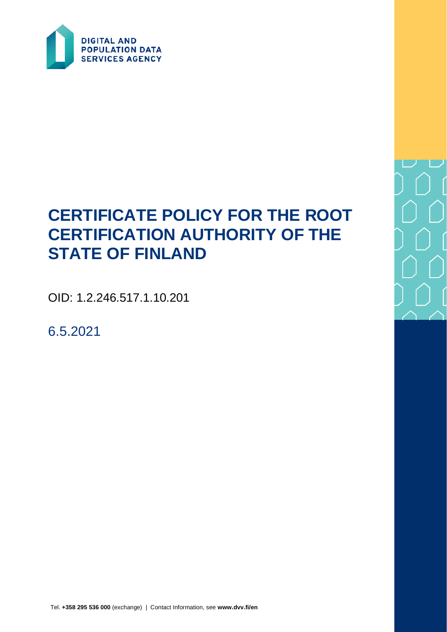

# **CERTIFICATE POLICY FOR THE ROOT CERTIFICATION AUTHORITY OF THE STATE OF FINLAND**

OID: 1.2.246.517.1.10.201

6.5.2021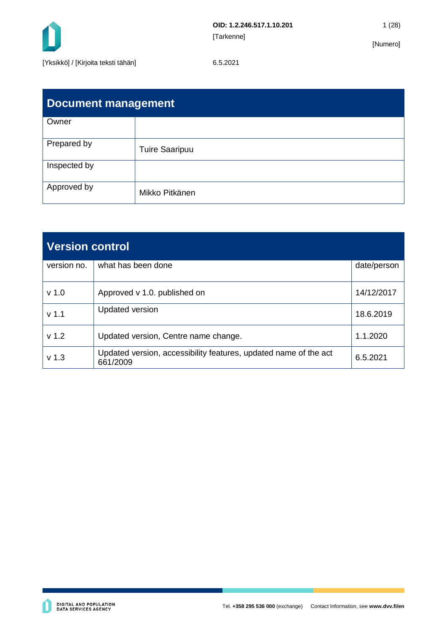

| Document management |                       |  |
|---------------------|-----------------------|--|
| Owner               |                       |  |
| Prepared by         | <b>Tuire Saaripuu</b> |  |
| Inspected by        |                       |  |
| Approved by         | Mikko Pitkänen        |  |

| <b>Version control</b> |                                                                              |             |
|------------------------|------------------------------------------------------------------------------|-------------|
| version no.            | what has been done                                                           | date/person |
| v <sub>1.0</sub>       | Approved v 1.0. published on                                                 | 14/12/2017  |
| v <sub>1.1</sub>       | <b>Updated version</b>                                                       | 18.6.2019   |
| v <sub>1.2</sub>       | Updated version, Centre name change.                                         | 1.1.2020    |
| v <sub>1.3</sub>       | Updated version, accessibility features, updated name of the act<br>661/2009 | 6.5.2021    |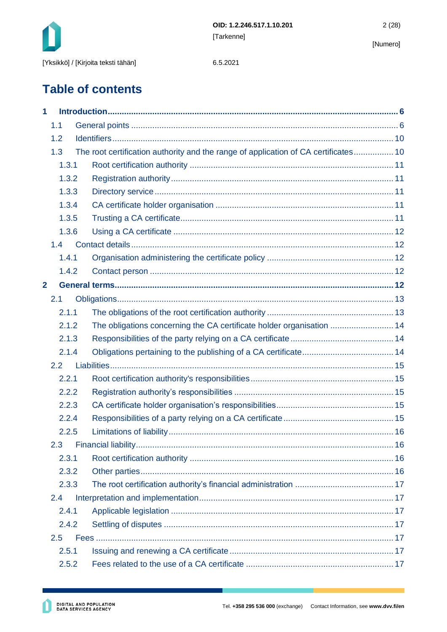

**Table of contents**

| 1                       |                                                                                     |  |
|-------------------------|-------------------------------------------------------------------------------------|--|
| 1.1                     |                                                                                     |  |
| 1.2                     |                                                                                     |  |
| 1.3                     | The root certification authority and the range of application of CA certificates 10 |  |
| 1.3.1                   |                                                                                     |  |
| 1.3.2                   |                                                                                     |  |
| 1.3.3                   |                                                                                     |  |
| 1.3.4                   |                                                                                     |  |
| 1.3.5                   |                                                                                     |  |
| 1.3.6                   |                                                                                     |  |
| 1.4                     |                                                                                     |  |
| 1.4.1                   |                                                                                     |  |
| 1.4.2                   |                                                                                     |  |
| $\overline{\mathbf{2}}$ |                                                                                     |  |
| 2.1                     |                                                                                     |  |
| 2.1.1                   |                                                                                     |  |
| 2.1.2                   | The obligations concerning the CA certificate holder organisation  14               |  |
| 2.1.3                   |                                                                                     |  |
| 2.1.4                   |                                                                                     |  |
| 2.2                     |                                                                                     |  |
| 2.2.1                   |                                                                                     |  |
| 2.2.2                   |                                                                                     |  |
| 2.2.3                   |                                                                                     |  |
| 2.2.4                   |                                                                                     |  |
| 2.2.5                   |                                                                                     |  |
|                         |                                                                                     |  |
| 2.3.1                   |                                                                                     |  |
| 2.3.2                   |                                                                                     |  |
| 2.3.3                   |                                                                                     |  |
| 2.4                     |                                                                                     |  |
| 2.4.1                   |                                                                                     |  |
| 2.4.2                   |                                                                                     |  |
| 2.5                     |                                                                                     |  |
| 2.5.1                   |                                                                                     |  |
| 2.5.2                   |                                                                                     |  |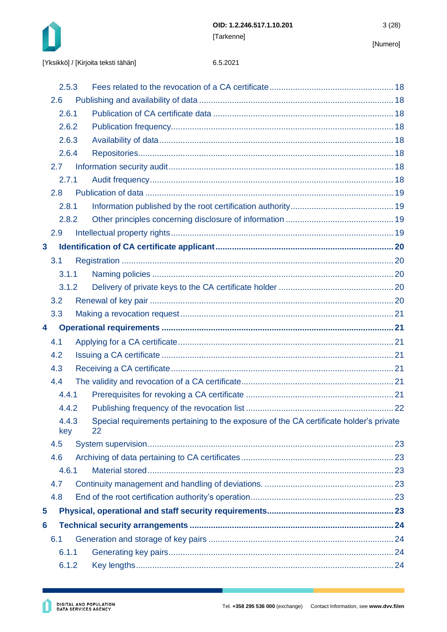

|              | 2.5.3        |                                                                                              |  |
|--------------|--------------|----------------------------------------------------------------------------------------------|--|
| 2.6          |              |                                                                                              |  |
|              | 2.6.1        |                                                                                              |  |
|              | 2.6.2        |                                                                                              |  |
|              | 2.6.3        |                                                                                              |  |
|              | 2.6.4        |                                                                                              |  |
| 2.7          |              |                                                                                              |  |
|              | 2.7.1        |                                                                                              |  |
| 2.8          |              |                                                                                              |  |
|              | 2.8.1        |                                                                                              |  |
|              | 2.8.2        |                                                                                              |  |
| 2.9          |              |                                                                                              |  |
| $\mathbf{3}$ |              |                                                                                              |  |
| 3.1          |              |                                                                                              |  |
|              | 3.1.1        |                                                                                              |  |
|              | 3.1.2        |                                                                                              |  |
| 3.2          |              |                                                                                              |  |
| 3.3          |              |                                                                                              |  |
| 4            |              |                                                                                              |  |
| 4.1          |              |                                                                                              |  |
| 4.2          |              |                                                                                              |  |
| 4.3          |              |                                                                                              |  |
| 4.4          |              |                                                                                              |  |
|              | 4.4.1        |                                                                                              |  |
|              | 4.4.2        |                                                                                              |  |
|              | 4.4.3<br>key | Special requirements pertaining to the exposure of the CA certificate holder's private<br>22 |  |
| 4.5          |              |                                                                                              |  |
| 4.6          |              |                                                                                              |  |
|              | 4.6.1        |                                                                                              |  |
| 4.7          |              |                                                                                              |  |
| 4.8          |              |                                                                                              |  |
| 5            |              |                                                                                              |  |
| 6            |              |                                                                                              |  |
| 6.1          |              |                                                                                              |  |
|              | 6.1.1        |                                                                                              |  |
|              | 6.1.2        |                                                                                              |  |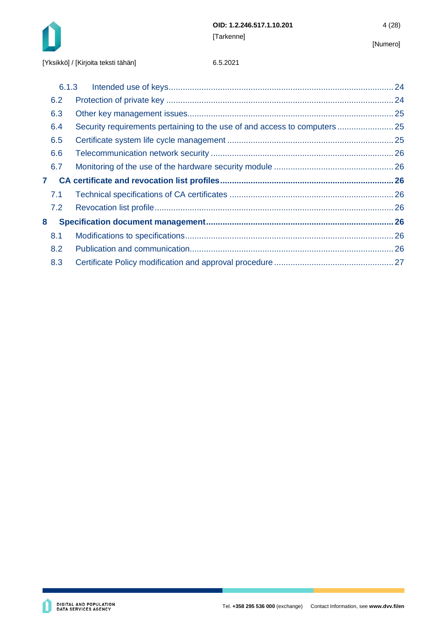

|              | 6.1.3 |  |
|--------------|-------|--|
|              | 6.2   |  |
|              | 6.3   |  |
|              | 6.4   |  |
|              | 6.5   |  |
|              | 6.6   |  |
|              | 6.7   |  |
| $\mathbf{7}$ |       |  |
|              | 7.1   |  |
|              | 7.2   |  |
| 8            |       |  |
|              | 8.1   |  |
|              | 8.2   |  |
|              | 8.3   |  |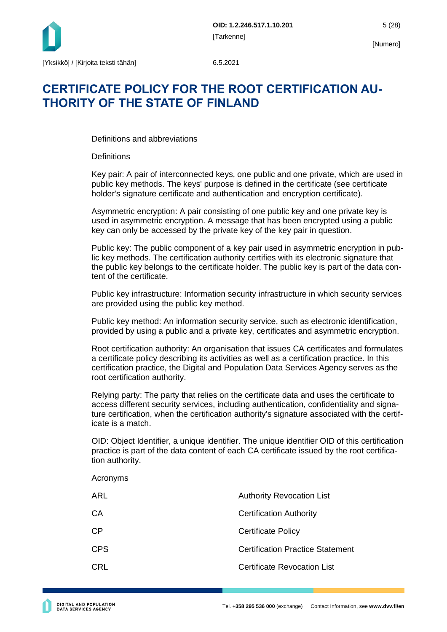

## **CERTIFICATE POLICY FOR THE ROOT CERTIFICATION AU-THORITY OF THE STATE OF FINLAND**

Definitions and abbreviations

**Definitions** 

Key pair: A pair of interconnected keys, one public and one private, which are used in public key methods. The keys' purpose is defined in the certificate (see certificate holder's signature certificate and authentication and encryption certificate).

Asymmetric encryption: A pair consisting of one public key and one private key is used in asymmetric encryption. A message that has been encrypted using a public key can only be accessed by the private key of the key pair in question.

Public key: The public component of a key pair used in asymmetric encryption in public key methods. The certification authority certifies with its electronic signature that the public key belongs to the certificate holder. The public key is part of the data content of the certificate.

Public key infrastructure: Information security infrastructure in which security services are provided using the public key method.

Public key method: An information security service, such as electronic identification, provided by using a public and a private key, certificates and asymmetric encryption.

Root certification authority: An organisation that issues CA certificates and formulates a certificate policy describing its activities as well as a certification practice. In this certification practice, the Digital and Population Data Services Agency serves as the root certification authority.

Relying party: The party that relies on the certificate data and uses the certificate to access different security services, including authentication, confidentiality and signature certification, when the certification authority's signature associated with the certificate is a match.

OID: Object Identifier, a unique identifier. The unique identifier OID of this certification practice is part of the data content of each CA certificate issued by the root certification authority.

| uvii auulviity. |                                         |
|-----------------|-----------------------------------------|
| Acronyms        |                                         |
| <b>ARL</b>      | <b>Authority Revocation List</b>        |
| CA              | <b>Certification Authority</b>          |
| CP              | <b>Certificate Policy</b>               |
| <b>CPS</b>      | <b>Certification Practice Statement</b> |
| <b>CRL</b>      | Certificate Revocation List             |
|                 |                                         |
|                 |                                         |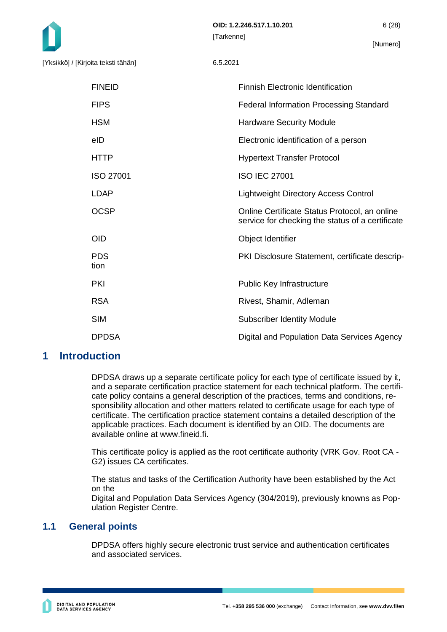| <b>FINEID</b>      | <b>Finnish Electronic Identification</b>                                                          |
|--------------------|---------------------------------------------------------------------------------------------------|
| <b>FIPS</b>        | <b>Federal Information Processing Standard</b>                                                    |
| <b>HSM</b>         | <b>Hardware Security Module</b>                                                                   |
| eID                | Electronic identification of a person                                                             |
| <b>HTTP</b>        | <b>Hypertext Transfer Protocol</b>                                                                |
| <b>ISO 27001</b>   | <b>ISO IEC 27001</b>                                                                              |
| <b>LDAP</b>        | <b>Lightweight Directory Access Control</b>                                                       |
| <b>OCSP</b>        | Online Certificate Status Protocol, an online<br>service for checking the status of a certificate |
| <b>OID</b>         | Object Identifier                                                                                 |
| <b>PDS</b><br>tion | PKI Disclosure Statement, certificate descrip-                                                    |
| <b>PKI</b>         | Public Key Infrastructure                                                                         |
| <b>RSA</b>         | Rivest, Shamir, Adleman                                                                           |
| <b>SIM</b>         | <b>Subscriber Identity Module</b>                                                                 |
| <b>DPDSA</b>       | Digital and Population Data Services Agency                                                       |

## <span id="page-6-0"></span>**1 Introduction**

DPDSA draws up a separate certificate policy for each type of certificate issued by it, and a separate certification practice statement for each technical platform. The certificate policy contains a general description of the practices, terms and conditions, responsibility allocation and other matters related to certificate usage for each type of certificate. The certification practice statement contains a detailed description of the applicable practices. Each document is identified by an OID. The documents are available online at www.fineid.fi.

This certificate policy is applied as the root certificate authority (VRK Gov. Root CA - G2) issues CA certificates.

The status and tasks of the Certification Authority have been established by the Act on the

Digital and Population Data Services Agency (304/2019), previously knowns as Population Register Centre.

## <span id="page-6-1"></span>**1.1 General points**

DPDSA offers highly secure electronic trust service and authentication certificates and associated services.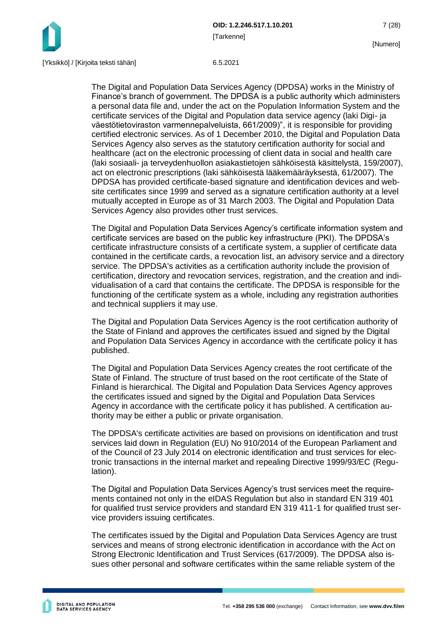

The Digital and Population Data Services Agency (DPDSA) works in the Ministry of Finance's branch of government. The DPDSA is a public authority which administers a personal data file and, under the act on the Population Information System and the certificate services of the Digital and Population data service agency (laki Digi- ja väestötietoviraston varmennepalveluista, 661/2009)", it is responsible for providing certified electronic services. As of 1 December 2010, the Digital and Population Data Services Agency also serves as the statutory certification authority for social and healthcare (act on the electronic processing of client data in social and health care (laki sosiaali- ja terveydenhuollon asiakastietojen sähköisestä käsittelystä, 159/2007), act on electronic prescriptions (laki sähköisestä lääkemääräyksestä, 61/2007). The DPDSA has provided certificate-based signature and identification devices and website certificates since 1999 and served as a signature certification authority at a level mutually accepted in Europe as of 31 March 2003. The Digital and Population Data Services Agency also provides other trust services.

The Digital and Population Data Services Agency's certificate information system and certificate services are based on the public key infrastructure (PKI). The DPDSA's certificate infrastructure consists of a certificate system, a supplier of certificate data contained in the certificate cards, a revocation list, an advisory service and a directory service. The DPDSA's activities as a certification authority include the provision of certification, directory and revocation services, registration, and the creation and individualisation of a card that contains the certificate. The DPDSA is responsible for the functioning of the certificate system as a whole, including any registration authorities and technical suppliers it may use.

The Digital and Population Data Services Agency is the root certification authority of the State of Finland and approves the certificates issued and signed by the Digital and Population Data Services Agency in accordance with the certificate policy it has published.

The Digital and Population Data Services Agency creates the root certificate of the State of Finland. The structure of trust based on the root certificate of the State of Finland is hierarchical. The Digital and Population Data Services Agency approves the certificates issued and signed by the Digital and Population Data Services Agency in accordance with the certificate policy it has published. A certification authority may be either a public or private organisation.

The DPDSA's certificate activities are based on provisions on identification and trust services laid down in Regulation (EU) No 910/2014 of the European Parliament and of the Council of 23 July 2014 on electronic identification and trust services for electronic transactions in the internal market and repealing Directive 1999/93/EC (Regulation).

The Digital and Population Data Services Agency's trust services meet the requirements contained not only in the eIDAS Regulation but also in standard EN 319 401 for qualified trust service providers and standard EN 319 411-1 for qualified trust service providers issuing certificates.

The certificates issued by the Digital and Population Data Services Agency are trust services and means of strong electronic identification in accordance with the Act on Strong Electronic Identification and Trust Services (617/2009). The DPDSA also issues other personal and software certificates within the same reliable system of the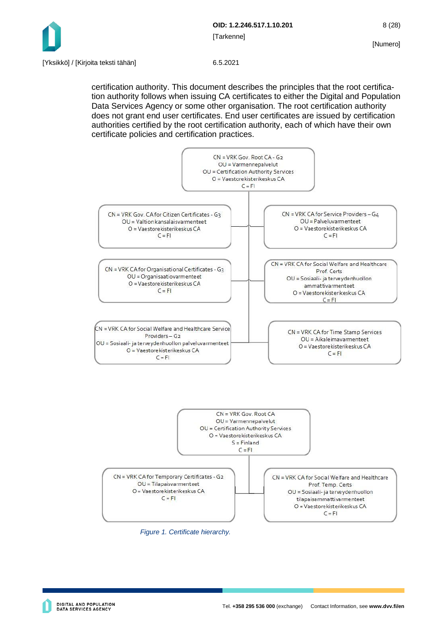

certification authority. This document describes the principles that the root certification authority follows when issuing CA certificates to either the Digital and Population Data Services Agency or some other organisation. The root certification authority does not grant end user certificates. End user certificates are issued by certification authorities certified by the root certification authority, each of which have their own certificate policies and certification practices.







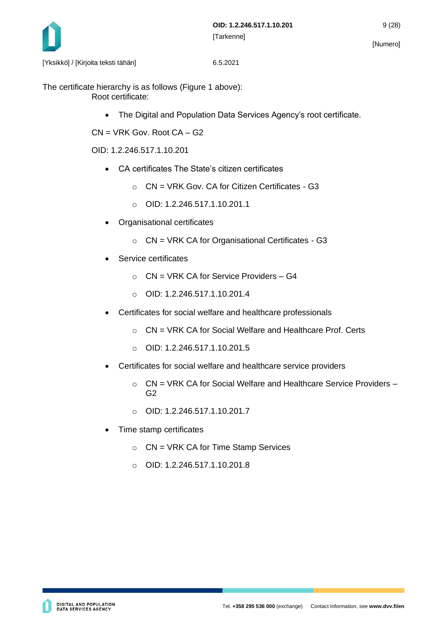

The certificate hierarchy is as follows (Figure 1 above): Root certificate:

• The Digital and Population Data Services Agency's root certificate.

CN = VRK Gov. Root CA – G2

OID: 1.2.246.517.1.10.201

- CA certificates The State's citizen certificates
	- $\circ$  CN = VRK Gov. CA for Citizen Certificates G3
	- o OID: 1.2.246.517.1.10.201.1
- Organisational certificates
	- $\circ$  CN = VRK CA for Organisational Certificates G3
- Service certificates
	- $\circ$  CN = VRK CA for Service Providers G4
	- o OID: 1.2.246.517.1.10.201.4
- Certificates for social welfare and healthcare professionals
	- o CN = VRK CA for Social Welfare and Healthcare Prof. Certs
	- $O$  OID: 1.2.246.517.1.10.201.5
- Certificates for social welfare and healthcare service providers
	- $\circ$  CN = VRK CA for Social Welfare and Healthcare Service Providers G2
	- o OID: 1.2.246.517.1.10.201.7
- Time stamp certificates
	- o CN = VRK CA for Time Stamp Services
	- $O$  OID: 1.2.246.517.1.10.201.8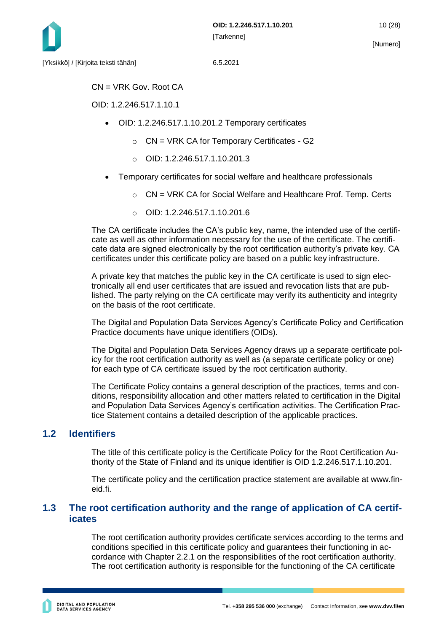

 $CN = VRK$  Gov. Root CA

OID: 1.2.246.517.1.10.1

- OID: 1.2.246.517.1.10.201.2 Temporary certificates
	- $\circ$  CN = VRK CA for Temporary Certificates G2
	- $O$  OID: 1.2.246.517.1.10.201.3
- Temporary certificates for social welfare and healthcare professionals
	- o CN = VRK CA for Social Welfare and Healthcare Prof. Temp. Certs
	- $O$  OID: 1.2.246.517.1.10.201.6

The CA certificate includes the CA's public key, name, the intended use of the certificate as well as other information necessary for the use of the certificate. The certificate data are signed electronically by the root certification authority's private key. CA certificates under this certificate policy are based on a public key infrastructure.

A private key that matches the public key in the CA certificate is used to sign electronically all end user certificates that are issued and revocation lists that are published. The party relying on the CA certificate may verify its authenticity and integrity on the basis of the root certificate.

The Digital and Population Data Services Agency's Certificate Policy and Certification Practice documents have unique identifiers (OIDs).

The Digital and Population Data Services Agency draws up a separate certificate policy for the root certification authority as well as (a separate certificate policy or one) for each type of CA certificate issued by the root certification authority.

The Certificate Policy contains a general description of the practices, terms and conditions, responsibility allocation and other matters related to certification in the Digital and Population Data Services Agency's certification activities. The Certification Practice Statement contains a detailed description of the applicable practices.

## <span id="page-10-0"></span>**1.2 Identifiers**

The title of this certificate policy is the Certificate Policy for the Root Certification Authority of the State of Finland and its unique identifier is OID 1.2.246.517.1.10.201.

The certificate policy and the certification practice statement are available at www.fineid.fi.

## <span id="page-10-1"></span>**1.3 The root certification authority and the range of application of CA certificates**

The root certification authority provides certificate services according to the terms and conditions specified in this certificate policy and guarantees their functioning in accordance with Chapter 2.2.1 on the responsibilities of the root certification authority. The root certification authority is responsible for the functioning of the CA certificate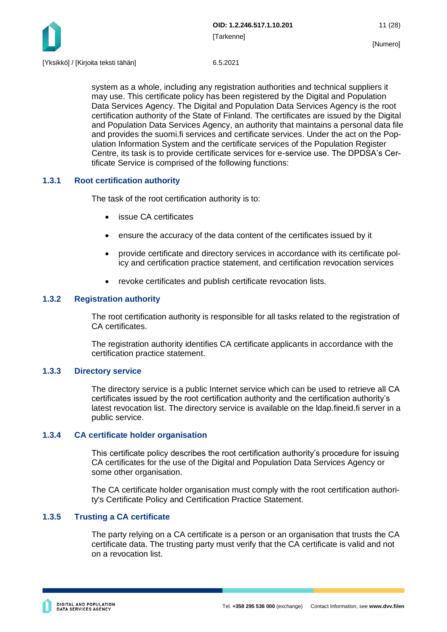

system as a whole, including any registration authorities and technical suppliers it may use. This certificate policy has been registered by the Digital and Population Data Services Agency. The Digital and Population Data Services Agency is the root certification authority of the State of Finland. The certificates are issued by the Digital and Population Data Services Agency, an authority that maintains a personal data file and provides the suomi.fi services and certificate services. Under the act on the Population Information System and the certificate services of the Population Register Centre, its task is to provide certificate services for e-service use. The DPDSA's Certificate Service is comprised of the following functions:

## <span id="page-11-0"></span>**1.3.1 Root certification authority**

The task of the root certification authority is to:

- issue CA certificates
- ensure the accuracy of the data content of the certificates issued by it
- provide certificate and directory services in accordance with its certificate policy and certification practice statement, and certification revocation services
- revoke certificates and publish certificate revocation lists.

### <span id="page-11-1"></span>**1.3.2 Registration authority**

The root certification authority is responsible for all tasks related to the registration of CA certificates.

The registration authority identifies CA certificate applicants in accordance with the certification practice statement.

### <span id="page-11-2"></span>**1.3.3 Directory service**

The directory service is a public Internet service which can be used to retrieve all CA certificates issued by the root certification authority and the certification authority's latest revocation list. The directory service is available on the ldap.fineid.fi server in a public service.

### <span id="page-11-3"></span>**1.3.4 CA certificate holder organisation**

This certificate policy describes the root certification authority's procedure for issuing CA certificates for the use of the Digital and Population Data Services Agency or some other organisation.

The CA certificate holder organisation must comply with the root certification authority's Certificate Policy and Certification Practice Statement.

### <span id="page-11-4"></span>**1.3.5 Trusting a CA certificate**

The party relying on a CA certificate is a person or an organisation that trusts the CA certificate data. The trusting party must verify that the CA certificate is valid and not on a revocation list.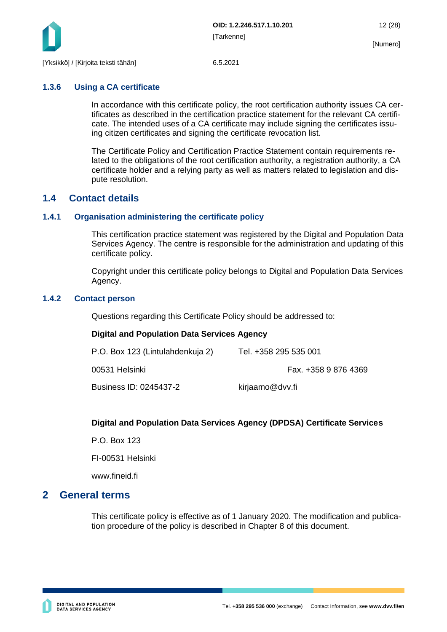

## <span id="page-12-0"></span>**1.3.6 Using a CA certificate**

In accordance with this certificate policy, the root certification authority issues CA certificates as described in the certification practice statement for the relevant CA certificate. The intended uses of a CA certificate may include signing the certificates issuing citizen certificates and signing the certificate revocation list.

The Certificate Policy and Certification Practice Statement contain requirements related to the obligations of the root certification authority, a registration authority, a CA certificate holder and a relying party as well as matters related to legislation and dispute resolution.

## <span id="page-12-1"></span>**1.4 Contact details**

### <span id="page-12-2"></span>**1.4.1 Organisation administering the certificate policy**

This certification practice statement was registered by the Digital and Population Data Services Agency. The centre is responsible for the administration and updating of this certificate policy.

Copyright under this certificate policy belongs to Digital and Population Data Services Agency.

### <span id="page-12-3"></span>**1.4.2 Contact person**

Questions regarding this Certificate Policy should be addressed to:

### **Digital and Population Data Services Agency**

| P.O. Box 123 (Lintulahdenkuja 2) | Tel. +358 295 535 001 |
|----------------------------------|-----------------------|
| 00531 Helsinki                   | Fax. +358 9 876 4369  |
| Business ID: 0245437-2           | kirjaamo@dvv.fi       |

## **Digital and Population Data Services Agency (DPDSA) Certificate Services**

P.O. Box 123

FI-00531 Helsinki

www.fineid.fi

## <span id="page-12-4"></span>**2 General terms**

This certificate policy is effective as of 1 January 2020. The modification and publication procedure of the policy is described in Chapter 8 of this document.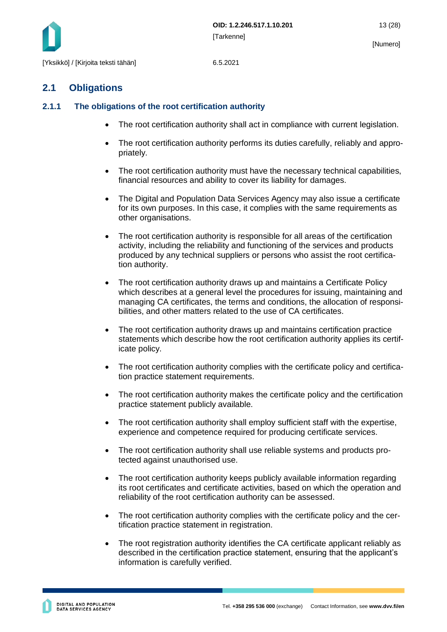

## <span id="page-13-0"></span>**2.1 Obligations**

## <span id="page-13-1"></span>**2.1.1 The obligations of the root certification authority**

- The root certification authority shall act in compliance with current legislation.
- The root certification authority performs its duties carefully, reliably and appropriately.
- The root certification authority must have the necessary technical capabilities, financial resources and ability to cover its liability for damages.
- The Digital and Population Data Services Agency may also issue a certificate for its own purposes. In this case, it complies with the same requirements as other organisations.
- The root certification authority is responsible for all areas of the certification activity, including the reliability and functioning of the services and products produced by any technical suppliers or persons who assist the root certification authority.
- The root certification authority draws up and maintains a Certificate Policy which describes at a general level the procedures for issuing, maintaining and managing CA certificates, the terms and conditions, the allocation of responsibilities, and other matters related to the use of CA certificates.
- The root certification authority draws up and maintains certification practice statements which describe how the root certification authority applies its certificate policy.
- The root certification authority complies with the certificate policy and certification practice statement requirements.
- The root certification authority makes the certificate policy and the certification practice statement publicly available.
- The root certification authority shall employ sufficient staff with the expertise, experience and competence required for producing certificate services.
- The root certification authority shall use reliable systems and products protected against unauthorised use.
- The root certification authority keeps publicly available information regarding its root certificates and certificate activities, based on which the operation and reliability of the root certification authority can be assessed.
- The root certification authority complies with the certificate policy and the certification practice statement in registration.
- The root registration authority identifies the CA certificate applicant reliably as described in the certification practice statement, ensuring that the applicant's information is carefully verified.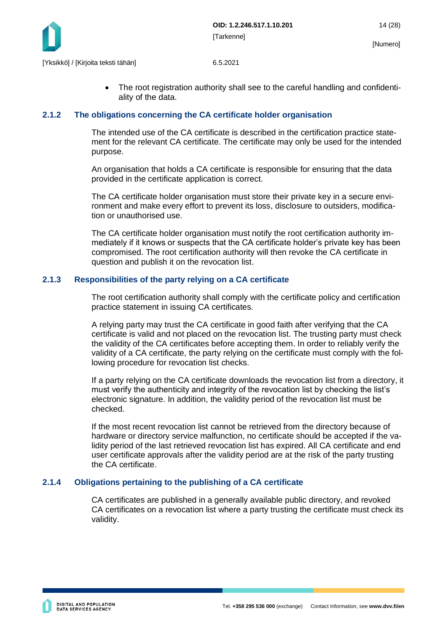

• The root registration authority shall see to the careful handling and confidentiality of the data.

#### <span id="page-14-0"></span>**2.1.2 The obligations concerning the CA certificate holder organisation**

The intended use of the CA certificate is described in the certification practice statement for the relevant CA certificate. The certificate may only be used for the intended purpose.

An organisation that holds a CA certificate is responsible for ensuring that the data provided in the certificate application is correct.

The CA certificate holder organisation must store their private key in a secure environment and make every effort to prevent its loss, disclosure to outsiders, modification or unauthorised use.

The CA certificate holder organisation must notify the root certification authority immediately if it knows or suspects that the CA certificate holder's private key has been compromised. The root certification authority will then revoke the CA certificate in question and publish it on the revocation list.

#### <span id="page-14-1"></span>**2.1.3 Responsibilities of the party relying on a CA certificate**

The root certification authority shall comply with the certificate policy and certification practice statement in issuing CA certificates.

A relying party may trust the CA certificate in good faith after verifying that the CA certificate is valid and not placed on the revocation list. The trusting party must check the validity of the CA certificates before accepting them. In order to reliably verify the validity of a CA certificate, the party relying on the certificate must comply with the following procedure for revocation list checks.

If a party relying on the CA certificate downloads the revocation list from a directory, it must verify the authenticity and integrity of the revocation list by checking the list's electronic signature. In addition, the validity period of the revocation list must be checked.

If the most recent revocation list cannot be retrieved from the directory because of hardware or directory service malfunction, no certificate should be accepted if the validity period of the last retrieved revocation list has expired. All CA certificate and end user certificate approvals after the validity period are at the risk of the party trusting the CA certificate.

### <span id="page-14-2"></span>**2.1.4 Obligations pertaining to the publishing of a CA certificate**

CA certificates are published in a generally available public directory, and revoked CA certificates on a revocation list where a party trusting the certificate must check its validity.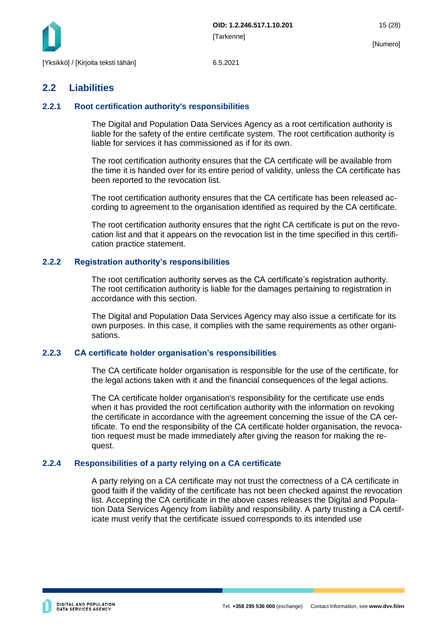

## <span id="page-15-0"></span>**2.2 Liabilities**

### <span id="page-15-1"></span>**2.2.1 Root certification authority's responsibilities**

The Digital and Population Data Services Agency as a root certification authority is liable for the safety of the entire certificate system. The root certification authority is liable for services it has commissioned as if for its own.

The root certification authority ensures that the CA certificate will be available from the time it is handed over for its entire period of validity, unless the CA certificate has been reported to the revocation list.

The root certification authority ensures that the CA certificate has been released according to agreement to the organisation identified as required by the CA certificate.

The root certification authority ensures that the right CA certificate is put on the revocation list and that it appears on the revocation list in the time specified in this certification practice statement.

### <span id="page-15-2"></span>**2.2.2 Registration authority's responsibilities**

The root certification authority serves as the CA certificate's registration authority. The root certification authority is liable for the damages pertaining to registration in accordance with this section.

The Digital and Population Data Services Agency may also issue a certificate for its own purposes. In this case, it complies with the same requirements as other organisations.

### <span id="page-15-3"></span>**2.2.3 CA certificate holder organisation's responsibilities**

The CA certificate holder organisation is responsible for the use of the certificate, for the legal actions taken with it and the financial consequences of the legal actions.

The CA certificate holder organisation's responsibility for the certificate use ends when it has provided the root certification authority with the information on revoking the certificate in accordance with the agreement concerning the issue of the CA certificate. To end the responsibility of the CA certificate holder organisation, the revocation request must be made immediately after giving the reason for making the request.

### <span id="page-15-4"></span>**2.2.4 Responsibilities of a party relying on a CA certificate**

A party relying on a CA certificate may not trust the correctness of a CA certificate in good faith if the validity of the certificate has not been checked against the revocation list. Accepting the CA certificate in the above cases releases the Digital and Population Data Services Agency from liability and responsibility. A party trusting a CA certificate must verify that the certificate issued corresponds to its intended use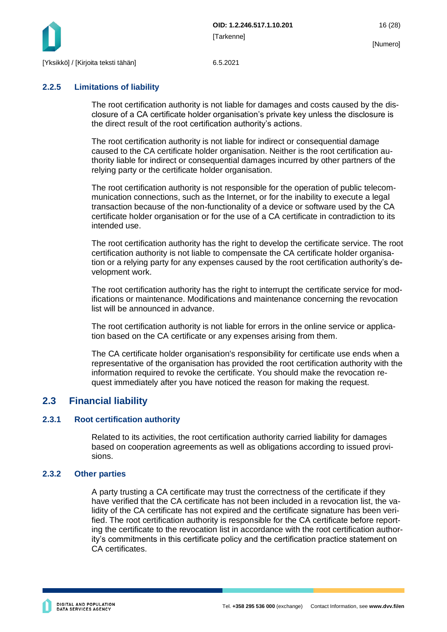

## <span id="page-16-0"></span>**2.2.5 Limitations of liability**

The root certification authority is not liable for damages and costs caused by the disclosure of a CA certificate holder organisation's private key unless the disclosure is the direct result of the root certification authority's actions.

The root certification authority is not liable for indirect or consequential damage caused to the CA certificate holder organisation. Neither is the root certification authority liable for indirect or consequential damages incurred by other partners of the relying party or the certificate holder organisation.

The root certification authority is not responsible for the operation of public telecommunication connections, such as the Internet, or for the inability to execute a legal transaction because of the non-functionality of a device or software used by the CA certificate holder organisation or for the use of a CA certificate in contradiction to its intended use.

The root certification authority has the right to develop the certificate service. The root certification authority is not liable to compensate the CA certificate holder organisation or a relying party for any expenses caused by the root certification authority's development work.

The root certification authority has the right to interrupt the certificate service for modifications or maintenance. Modifications and maintenance concerning the revocation list will be announced in advance.

The root certification authority is not liable for errors in the online service or application based on the CA certificate or any expenses arising from them.

The CA certificate holder organisation's responsibility for certificate use ends when a representative of the organisation has provided the root certification authority with the information required to revoke the certificate. You should make the revocation request immediately after you have noticed the reason for making the request.

## <span id="page-16-1"></span>**2.3 Financial liability**

### <span id="page-16-2"></span>**2.3.1 Root certification authority**

Related to its activities, the root certification authority carried liability for damages based on cooperation agreements as well as obligations according to issued provisions.

### <span id="page-16-3"></span>**2.3.2 Other parties**

A party trusting a CA certificate may trust the correctness of the certificate if they have verified that the CA certificate has not been included in a revocation list, the validity of the CA certificate has not expired and the certificate signature has been verified. The root certification authority is responsible for the CA certificate before reporting the certificate to the revocation list in accordance with the root certification authority's commitments in this certificate policy and the certification practice statement on CA certificates.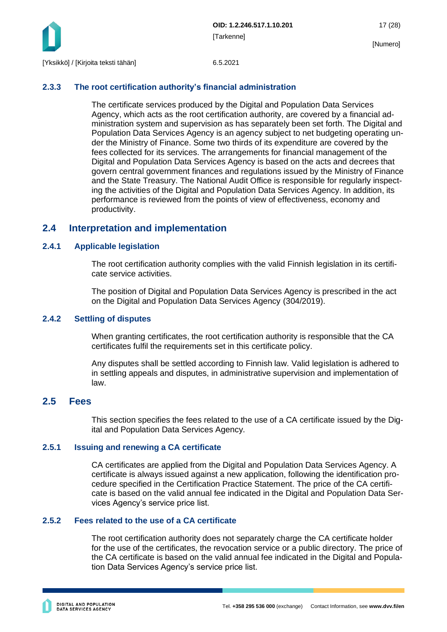

## <span id="page-17-0"></span>**2.3.3 The root certification authority's financial administration**

The certificate services produced by the Digital and Population Data Services Agency, which acts as the root certification authority, are covered by a financial administration system and supervision as has separately been set forth. The Digital and Population Data Services Agency is an agency subject to net budgeting operating under the Ministry of Finance. Some two thirds of its expenditure are covered by the fees collected for its services. The arrangements for financial management of the Digital and Population Data Services Agency is based on the acts and decrees that govern central government finances and regulations issued by the Ministry of Finance and the State Treasury. The National Audit Office is responsible for regularly inspecting the activities of the Digital and Population Data Services Agency. In addition, its performance is reviewed from the points of view of effectiveness, economy and productivity.

## <span id="page-17-1"></span>**2.4 Interpretation and implementation**

### <span id="page-17-2"></span>**2.4.1 Applicable legislation**

The root certification authority complies with the valid Finnish legislation in its certificate service activities.

The position of Digital and Population Data Services Agency is prescribed in the act on the Digital and Population Data Services Agency (304/2019).

### <span id="page-17-3"></span>**2.4.2 Settling of disputes**

When granting certificates, the root certification authority is responsible that the CA certificates fulfil the requirements set in this certificate policy.

Any disputes shall be settled according to Finnish law. Valid legislation is adhered to in settling appeals and disputes, in administrative supervision and implementation of law.

## <span id="page-17-4"></span>**2.5 Fees**

This section specifies the fees related to the use of a CA certificate issued by the Digital and Population Data Services Agency.

### <span id="page-17-5"></span>**2.5.1 Issuing and renewing a CA certificate**

CA certificates are applied from the Digital and Population Data Services Agency. A certificate is always issued against a new application, following the identification procedure specified in the Certification Practice Statement. The price of the CA certificate is based on the valid annual fee indicated in the Digital and Population Data Services Agency's service price list.

## <span id="page-17-6"></span>**2.5.2 Fees related to the use of a CA certificate**

The root certification authority does not separately charge the CA certificate holder for the use of the certificates, the revocation service or a public directory. The price of the CA certificate is based on the valid annual fee indicated in the Digital and Population Data Services Agency's service price list.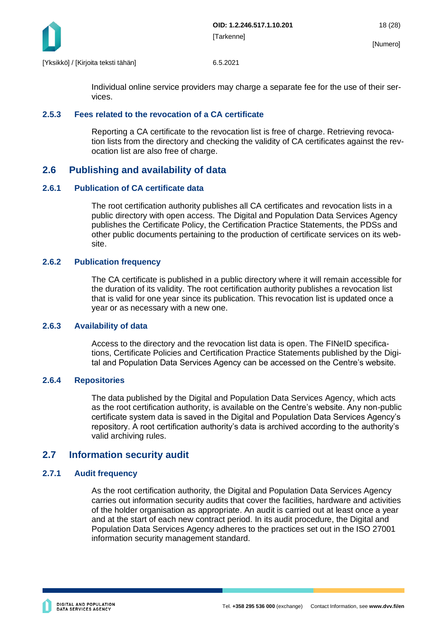

Individual online service providers may charge a separate fee for the use of their services.

#### <span id="page-18-0"></span>**2.5.3 Fees related to the revocation of a CA certificate**

Reporting a CA certificate to the revocation list is free of charge. Retrieving revocation lists from the directory and checking the validity of CA certificates against the revocation list are also free of charge.

## <span id="page-18-1"></span>**2.6 Publishing and availability of data**

#### <span id="page-18-2"></span>**2.6.1 Publication of CA certificate data**

The root certification authority publishes all CA certificates and revocation lists in a public directory with open access. The Digital and Population Data Services Agency publishes the Certificate Policy, the Certification Practice Statements, the PDSs and other public documents pertaining to the production of certificate services on its website.

#### <span id="page-18-3"></span>**2.6.2 Publication frequency**

The CA certificate is published in a public directory where it will remain accessible for the duration of its validity. The root certification authority publishes a revocation list that is valid for one year since its publication. This revocation list is updated once a year or as necessary with a new one.

#### <span id="page-18-4"></span>**2.6.3 Availability of data**

Access to the directory and the revocation list data is open. The FINeID specifications, Certificate Policies and Certification Practice Statements published by the Digital and Population Data Services Agency can be accessed on the Centre's website.

### <span id="page-18-5"></span>**2.6.4 Repositories**

The data published by the Digital and Population Data Services Agency, which acts as the root certification authority, is available on the Centre's website. Any non-public certificate system data is saved in the Digital and Population Data Services Agency's repository. A root certification authority's data is archived according to the authority's valid archiving rules.

## <span id="page-18-6"></span>**2.7 Information security audit**

### <span id="page-18-7"></span>**2.7.1 Audit frequency**

As the root certification authority, the Digital and Population Data Services Agency carries out information security audits that cover the facilities, hardware and activities of the holder organisation as appropriate. An audit is carried out at least once a year and at the start of each new contract period. In its audit procedure, the Digital and Population Data Services Agency adheres to the practices set out in the ISO 27001 information security management standard.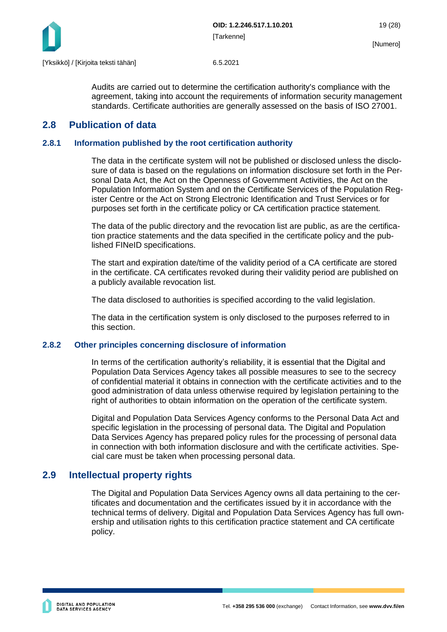

Audits are carried out to determine the certification authority's compliance with the agreement, taking into account the requirements of information security management standards. Certificate authorities are generally assessed on the basis of ISO 27001.

## <span id="page-19-0"></span>**2.8 Publication of data**

## <span id="page-19-1"></span>**2.8.1 Information published by the root certification authority**

The data in the certificate system will not be published or disclosed unless the disclosure of data is based on the regulations on information disclosure set forth in the Personal Data Act, the Act on the Openness of Government Activities, the Act on the Population Information System and on the Certificate Services of the Population Register Centre or the Act on Strong Electronic Identification and Trust Services or for purposes set forth in the certificate policy or CA certification practice statement.

The data of the public directory and the revocation list are public, as are the certification practice statements and the data specified in the certificate policy and the published FINeID specifications.

The start and expiration date/time of the validity period of a CA certificate are stored in the certificate. CA certificates revoked during their validity period are published on a publicly available revocation list.

The data disclosed to authorities is specified according to the valid legislation.

The data in the certification system is only disclosed to the purposes referred to in this section.

### <span id="page-19-2"></span>**2.8.2 Other principles concerning disclosure of information**

In terms of the certification authority's reliability, it is essential that the Digital and Population Data Services Agency takes all possible measures to see to the secrecy of confidential material it obtains in connection with the certificate activities and to the good administration of data unless otherwise required by legislation pertaining to the right of authorities to obtain information on the operation of the certificate system.

Digital and Population Data Services Agency conforms to the Personal Data Act and specific legislation in the processing of personal data. The Digital and Population Data Services Agency has prepared policy rules for the processing of personal data in connection with both information disclosure and with the certificate activities. Special care must be taken when processing personal data.

## <span id="page-19-3"></span>**2.9 Intellectual property rights**

The Digital and Population Data Services Agency owns all data pertaining to the certificates and documentation and the certificates issued by it in accordance with the technical terms of delivery. Digital and Population Data Services Agency has full ownership and utilisation rights to this certification practice statement and CA certificate policy.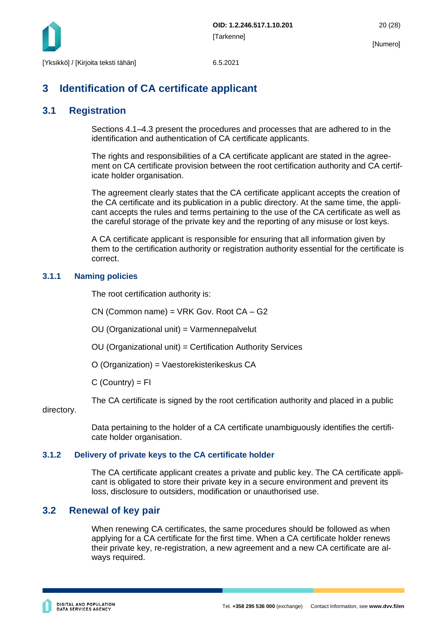

## <span id="page-20-0"></span>**3 Identification of CA certificate applicant**

## <span id="page-20-1"></span>**3.1 Registration**

Sections 4.1–4.3 present the procedures and processes that are adhered to in the identification and authentication of CA certificate applicants.

The rights and responsibilities of a CA certificate applicant are stated in the agreement on CA certificate provision between the root certification authority and CA certificate holder organisation.

The agreement clearly states that the CA certificate applicant accepts the creation of the CA certificate and its publication in a public directory. At the same time, the applicant accepts the rules and terms pertaining to the use of the CA certificate as well as the careful storage of the private key and the reporting of any misuse or lost keys.

A CA certificate applicant is responsible for ensuring that all information given by them to the certification authority or registration authority essential for the certificate is correct.

## <span id="page-20-2"></span>**3.1.1 Naming policies**

The root certification authority is:

CN (Common name) = VRK Gov. Root CA – G2

OU (Organizational unit) = Varmennepalvelut

OU (Organizational unit) = Certification Authority Services

O (Organization) = Vaestorekisterikeskus CA

 $C$  (Country) =  $FI$ 

The CA certificate is signed by the root certification authority and placed in a public

directory.

Data pertaining to the holder of a CA certificate unambiguously identifies the certificate holder organisation.

### <span id="page-20-3"></span>**3.1.2 Delivery of private keys to the CA certificate holder**

The CA certificate applicant creates a private and public key. The CA certificate applicant is obligated to store their private key in a secure environment and prevent its loss, disclosure to outsiders, modification or unauthorised use.

## <span id="page-20-4"></span>**3.2 Renewal of key pair**

When renewing CA certificates, the same procedures should be followed as when applying for a CA certificate for the first time. When a CA certificate holder renews their private key, re-registration, a new agreement and a new CA certificate are always required.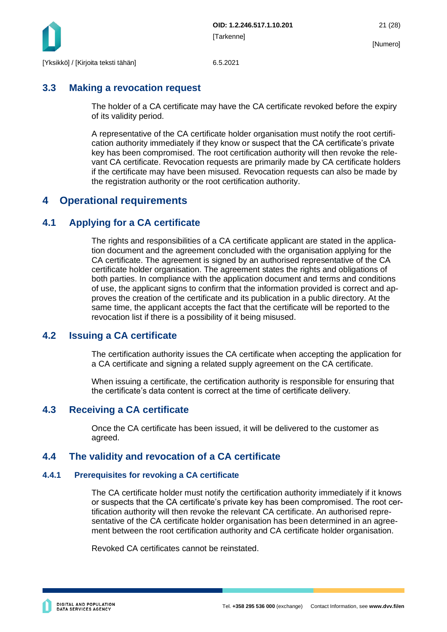

## <span id="page-21-0"></span>**3.3 Making a revocation request**

The holder of a CA certificate may have the CA certificate revoked before the expiry of its validity period.

A representative of the CA certificate holder organisation must notify the root certification authority immediately if they know or suspect that the CA certificate's private key has been compromised. The root certification authority will then revoke the relevant CA certificate. Revocation requests are primarily made by CA certificate holders if the certificate may have been misused. Revocation requests can also be made by the registration authority or the root certification authority.

## <span id="page-21-1"></span>**4 Operational requirements**

## <span id="page-21-2"></span>**4.1 Applying for a CA certificate**

The rights and responsibilities of a CA certificate applicant are stated in the application document and the agreement concluded with the organisation applying for the CA certificate. The agreement is signed by an authorised representative of the CA certificate holder organisation. The agreement states the rights and obligations of both parties. In compliance with the application document and terms and conditions of use, the applicant signs to confirm that the information provided is correct and approves the creation of the certificate and its publication in a public directory. At the same time, the applicant accepts the fact that the certificate will be reported to the revocation list if there is a possibility of it being misused.

## <span id="page-21-3"></span>**4.2 Issuing a CA certificate**

The certification authority issues the CA certificate when accepting the application for a CA certificate and signing a related supply agreement on the CA certificate.

When issuing a certificate, the certification authority is responsible for ensuring that the certificate's data content is correct at the time of certificate delivery.

## <span id="page-21-4"></span>**4.3 Receiving a CA certificate**

Once the CA certificate has been issued, it will be delivered to the customer as agreed.

## <span id="page-21-5"></span>**4.4 The validity and revocation of a CA certificate**

### <span id="page-21-6"></span>**4.4.1 Prerequisites for revoking a CA certificate**

The CA certificate holder must notify the certification authority immediately if it knows or suspects that the CA certificate's private key has been compromised. The root certification authority will then revoke the relevant CA certificate. An authorised representative of the CA certificate holder organisation has been determined in an agreement between the root certification authority and CA certificate holder organisation.

Revoked CA certificates cannot be reinstated.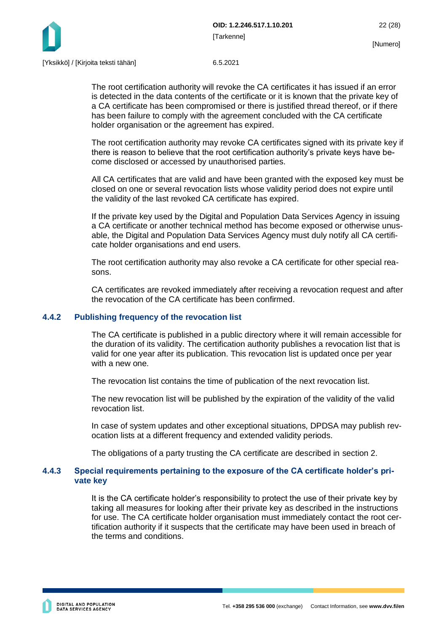

The root certification authority will revoke the CA certificates it has issued if an error is detected in the data contents of the certificate or it is known that the private key of a CA certificate has been compromised or there is justified thread thereof, or if there has been failure to comply with the agreement concluded with the CA certificate holder organisation or the agreement has expired.

The root certification authority may revoke CA certificates signed with its private key if there is reason to believe that the root certification authority's private keys have become disclosed or accessed by unauthorised parties.

All CA certificates that are valid and have been granted with the exposed key must be closed on one or several revocation lists whose validity period does not expire until the validity of the last revoked CA certificate has expired.

If the private key used by the Digital and Population Data Services Agency in issuing a CA certificate or another technical method has become exposed or otherwise unusable, the Digital and Population Data Services Agency must duly notify all CA certificate holder organisations and end users.

The root certification authority may also revoke a CA certificate for other special reasons.

CA certificates are revoked immediately after receiving a revocation request and after the revocation of the CA certificate has been confirmed.

#### <span id="page-22-0"></span>**4.4.2 Publishing frequency of the revocation list**

The CA certificate is published in a public directory where it will remain accessible for the duration of its validity. The certification authority publishes a revocation list that is valid for one year after its publication. This revocation list is updated once per year with a new one.

The revocation list contains the time of publication of the next revocation list.

The new revocation list will be published by the expiration of the validity of the valid revocation list.

In case of system updates and other exceptional situations, DPDSA may publish revocation lists at a different frequency and extended validity periods.

The obligations of a party trusting the CA certificate are described in section 2.

#### <span id="page-22-1"></span>**4.4.3 Special requirements pertaining to the exposure of the CA certificate holder's private key**

It is the CA certificate holder's responsibility to protect the use of their private key by taking all measures for looking after their private key as described in the instructions for use. The CA certificate holder organisation must immediately contact the root certification authority if it suspects that the certificate may have been used in breach of the terms and conditions.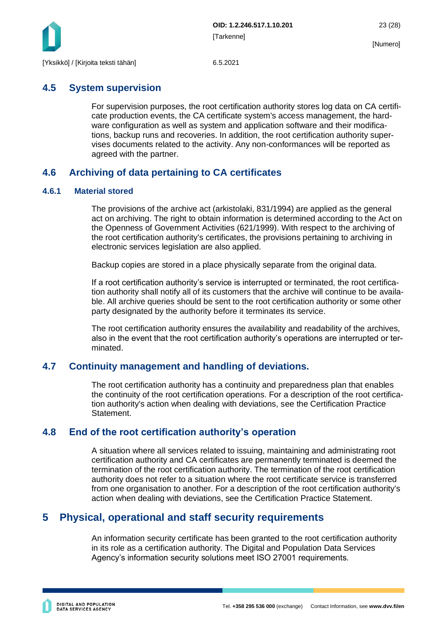

## <span id="page-23-0"></span>**4.5 System supervision**

For supervision purposes, the root certification authority stores log data on CA certificate production events, the CA certificate system's access management, the hardware configuration as well as system and application software and their modifications, backup runs and recoveries. In addition, the root certification authority supervises documents related to the activity. Any non-conformances will be reported as agreed with the partner.

## <span id="page-23-1"></span>**4.6 Archiving of data pertaining to CA certificates**

## <span id="page-23-2"></span>**4.6.1 Material stored**

The provisions of the archive act (arkistolaki, 831/1994) are applied as the general act on archiving. The right to obtain information is determined according to the Act on the Openness of Government Activities (621/1999). With respect to the archiving of the root certification authority's certificates, the provisions pertaining to archiving in electronic services legislation are also applied.

Backup copies are stored in a place physically separate from the original data.

If a root certification authority's service is interrupted or terminated, the root certification authority shall notify all of its customers that the archive will continue to be available. All archive queries should be sent to the root certification authority or some other party designated by the authority before it terminates its service.

The root certification authority ensures the availability and readability of the archives, also in the event that the root certification authority's operations are interrupted or terminated.

## <span id="page-23-3"></span>**4.7 Continuity management and handling of deviations.**

The root certification authority has a continuity and preparedness plan that enables the continuity of the root certification operations. For a description of the root certification authority's action when dealing with deviations, see the Certification Practice Statement.

## <span id="page-23-4"></span>**4.8 End of the root certification authority's operation**

A situation where all services related to issuing, maintaining and administrating root certification authority and CA certificates are permanently terminated is deemed the termination of the root certification authority. The termination of the root certification authority does not refer to a situation where the root certificate service is transferred from one organisation to another. For a description of the root certification authority's action when dealing with deviations, see the Certification Practice Statement.

## <span id="page-23-5"></span>**5 Physical, operational and staff security requirements**

An information security certificate has been granted to the root certification authority in its role as a certification authority. The Digital and Population Data Services Agency's information security solutions meet ISO 27001 requirements.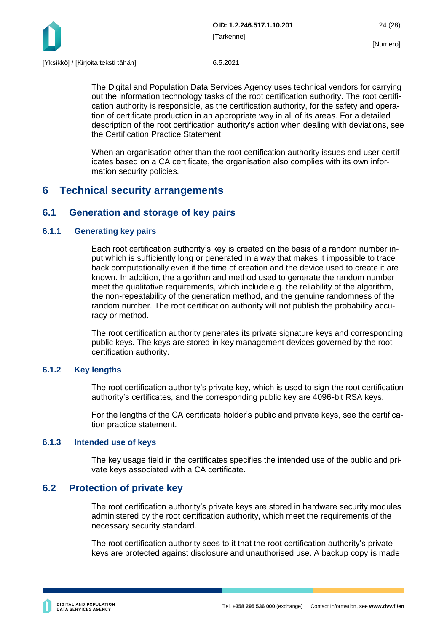

The Digital and Population Data Services Agency uses technical vendors for carrying out the information technology tasks of the root certification authority. The root certification authority is responsible, as the certification authority, for the safety and operation of certificate production in an appropriate way in all of its areas. For a detailed description of the root certification authority's action when dealing with deviations, see the Certification Practice Statement.

When an organisation other than the root certification authority issues end user certificates based on a CA certificate, the organisation also complies with its own information security policies.

## <span id="page-24-0"></span>**6 Technical security arrangements**

## <span id="page-24-1"></span>**6.1 Generation and storage of key pairs**

## <span id="page-24-2"></span>**6.1.1 Generating key pairs**

Each root certification authority's key is created on the basis of a random number input which is sufficiently long or generated in a way that makes it impossible to trace back computationally even if the time of creation and the device used to create it are known. In addition, the algorithm and method used to generate the random number meet the qualitative requirements, which include e.g. the reliability of the algorithm, the non-repeatability of the generation method, and the genuine randomness of the random number. The root certification authority will not publish the probability accuracy or method.

The root certification authority generates its private signature keys and corresponding public keys. The keys are stored in key management devices governed by the root certification authority.

### <span id="page-24-3"></span>**6.1.2 Key lengths**

The root certification authority's private key, which is used to sign the root certification authority's certificates, and the corresponding public key are 4096-bit RSA keys.

For the lengths of the CA certificate holder's public and private keys, see the certification practice statement.

### <span id="page-24-4"></span>**6.1.3 Intended use of keys**

The key usage field in the certificates specifies the intended use of the public and private keys associated with a CA certificate.

## <span id="page-24-5"></span>**6.2 Protection of private key**

The root certification authority's private keys are stored in hardware security modules administered by the root certification authority, which meet the requirements of the necessary security standard.

The root certification authority sees to it that the root certification authority's private keys are protected against disclosure and unauthorised use. A backup copy is made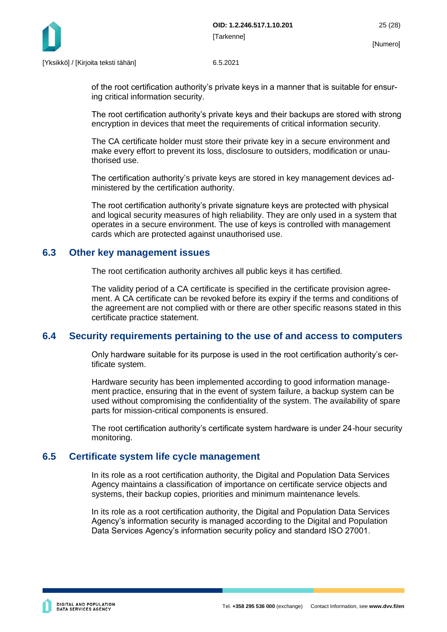

of the root certification authority's private keys in a manner that is suitable for ensuring critical information security.

The root certification authority's private keys and their backups are stored with strong encryption in devices that meet the requirements of critical information security.

The CA certificate holder must store their private key in a secure environment and make every effort to prevent its loss, disclosure to outsiders, modification or unauthorised use.

The certification authority's private keys are stored in key management devices administered by the certification authority.

The root certification authority's private signature keys are protected with physical and logical security measures of high reliability. They are only used in a system that operates in a secure environment. The use of keys is controlled with management cards which are protected against unauthorised use.

## <span id="page-25-0"></span>**6.3 Other key management issues**

The root certification authority archives all public keys it has certified.

The validity period of a CA certificate is specified in the certificate provision agreement. A CA certificate can be revoked before its expiry if the terms and conditions of the agreement are not complied with or there are other specific reasons stated in this certificate practice statement.

## <span id="page-25-1"></span>**6.4 Security requirements pertaining to the use of and access to computers**

Only hardware suitable for its purpose is used in the root certification authority's certificate system.

Hardware security has been implemented according to good information management practice, ensuring that in the event of system failure, a backup system can be used without compromising the confidentiality of the system. The availability of spare parts for mission-critical components is ensured.

The root certification authority's certificate system hardware is under 24-hour security monitoring.

## <span id="page-25-2"></span>**6.5 Certificate system life cycle management**

In its role as a root certification authority, the Digital and Population Data Services Agency maintains a classification of importance on certificate service objects and systems, their backup copies, priorities and minimum maintenance levels.

In its role as a root certification authority, the Digital and Population Data Services Agency's information security is managed according to the Digital and Population Data Services Agency's information security policy and standard ISO 27001.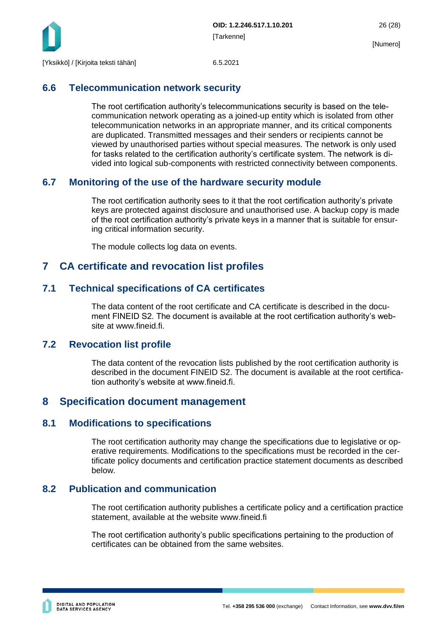

## <span id="page-26-0"></span>**6.6 Telecommunication network security**

The root certification authority's telecommunications security is based on the telecommunication network operating as a joined-up entity which is isolated from other telecommunication networks in an appropriate manner, and its critical components are duplicated. Transmitted messages and their senders or recipients cannot be viewed by unauthorised parties without special measures. The network is only used for tasks related to the certification authority's certificate system. The network is divided into logical sub-components with restricted connectivity between components.

## <span id="page-26-1"></span>**6.7 Monitoring of the use of the hardware security module**

The root certification authority sees to it that the root certification authority's private keys are protected against disclosure and unauthorised use. A backup copy is made of the root certification authority's private keys in a manner that is suitable for ensuring critical information security.

The module collects log data on events.

## <span id="page-26-2"></span>**7 CA certificate and revocation list profiles**

## <span id="page-26-3"></span>**7.1 Technical specifications of CA certificates**

The data content of the root certificate and CA certificate is described in the document FINEID S2. The document is available at the root certification authority's website at www.fineid.fi.

## <span id="page-26-4"></span>**7.2 Revocation list profile**

The data content of the revocation lists published by the root certification authority is described in the document FINEID S2. The document is available at the root certification authority's website at www.fineid.fi.

## <span id="page-26-5"></span>**8 Specification document management**

## <span id="page-26-6"></span>**8.1 Modifications to specifications**

The root certification authority may change the specifications due to legislative or operative requirements. Modifications to the specifications must be recorded in the certificate policy documents and certification practice statement documents as described below.

## <span id="page-26-7"></span>**8.2 Publication and communication**

The root certification authority publishes a certificate policy and a certification practice statement, available at the website www.fineid.fi

The root certification authority's public specifications pertaining to the production of certificates can be obtained from the same websites.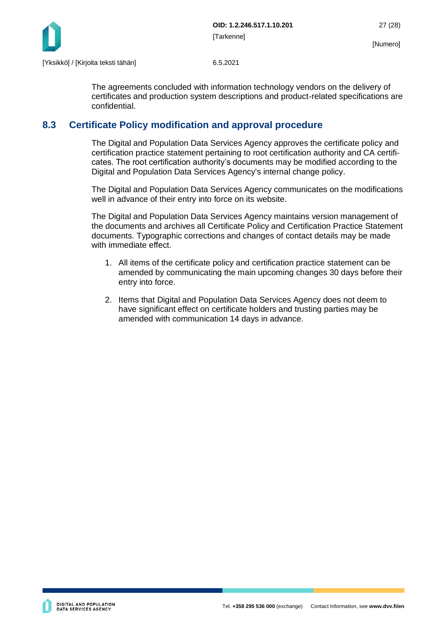

The agreements concluded with information technology vendors on the delivery of certificates and production system descriptions and product-related specifications are confidential.

## <span id="page-27-0"></span>**8.3 Certificate Policy modification and approval procedure**

The Digital and Population Data Services Agency approves the certificate policy and certification practice statement pertaining to root certification authority and CA certificates. The root certification authority's documents may be modified according to the Digital and Population Data Services Agency's internal change policy.

The Digital and Population Data Services Agency communicates on the modifications well in advance of their entry into force on its website.

The Digital and Population Data Services Agency maintains version management of the documents and archives all Certificate Policy and Certification Practice Statement documents. Typographic corrections and changes of contact details may be made with immediate effect.

- 1. All items of the certificate policy and certification practice statement can be amended by communicating the main upcoming changes 30 days before their entry into force.
- 2. Items that Digital and Population Data Services Agency does not deem to have significant effect on certificate holders and trusting parties may be amended with communication 14 days in advance.